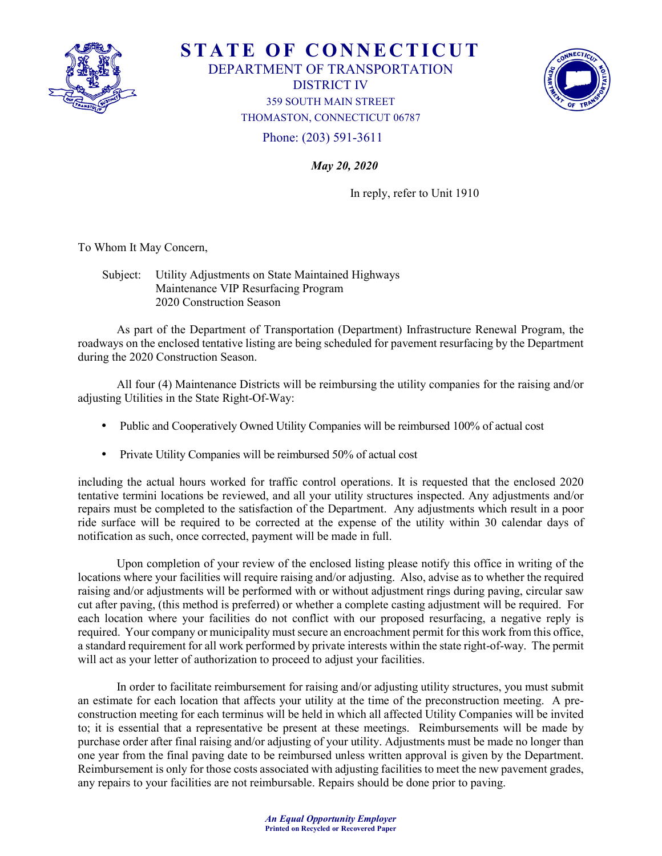

**STATE OF CONNECTICUT** 

DEPARTMENT OF TRANSPORTATION

DISTRICT IV



359 SOUTH MAIN STREET THOMASTON, CONNECTICUT 06787

Phone: (203) 591-3611

*May 20, 2020* 

In reply, refer to Unit 1910

To Whom It May Concern,

 Subject: Utility Adjustments on State Maintained Highways Maintenance VIP Resurfacing Program 2020 Construction Season

As part of the Department of Transportation (Department) Infrastructure Renewal Program, the roadways on the enclosed tentative listing are being scheduled for pavement resurfacing by the Department during the 2020 Construction Season.

 All four (4) Maintenance Districts will be reimbursing the utility companies for the raising and/or adjusting Utilities in the State Right-Of-Way:

- Public and Cooperatively Owned Utility Companies will be reimbursed 100% of actual cost
- Private Utility Companies will be reimbursed 50% of actual cost

including the actual hours worked for traffic control operations. It is requested that the enclosed 2020 tentative termini locations be reviewed, and all your utility structures inspected. Any adjustments and/or repairs must be completed to the satisfaction of the Department. Any adjustments which result in a poor ride surface will be required to be corrected at the expense of the utility within 30 calendar days of notification as such, once corrected, payment will be made in full.

Upon completion of your review of the enclosed listing please notify this office in writing of the locations where your facilities will require raising and/or adjusting. Also, advise as to whether the required raising and/or adjustments will be performed with or without adjustment rings during paving, circular saw cut after paving, (this method is preferred) or whether a complete casting adjustment will be required. For each location where your facilities do not conflict with our proposed resurfacing, a negative reply is required. Your company or municipality must secure an encroachment permit for this work from this office, a standard requirement for all work performed by private interests within the state right-of-way. The permit will act as your letter of authorization to proceed to adjust your facilities.

In order to facilitate reimbursement for raising and/or adjusting utility structures, you must submit an estimate for each location that affects your utility at the time of the preconstruction meeting. A preconstruction meeting for each terminus will be held in which all affected Utility Companies will be invited to; it is essential that a representative be present at these meetings. Reimbursements will be made by purchase order after final raising and/or adjusting of your utility. Adjustments must be made no longer than one year from the final paving date to be reimbursed unless written approval is given by the Department. Reimbursement is only for those costs associated with adjusting facilities to meet the new pavement grades, any repairs to your facilities are not reimbursable. Repairs should be done prior to paving.